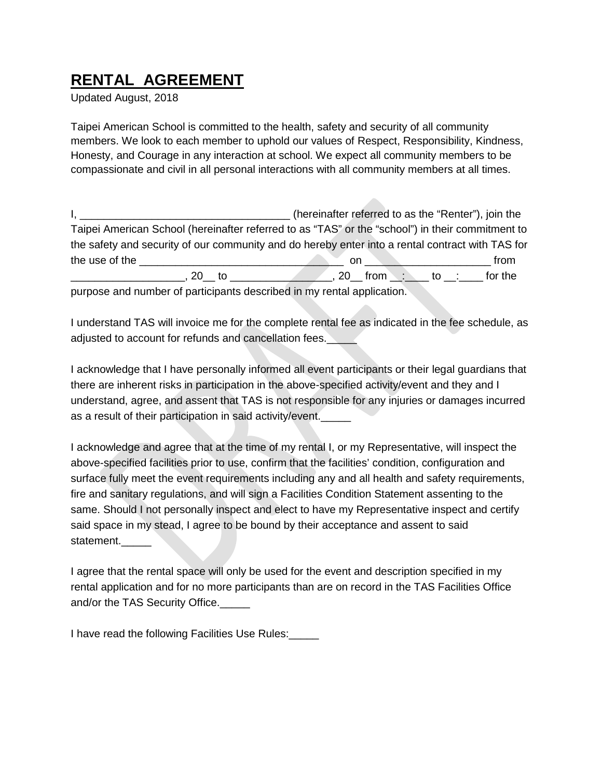## **RENTAL AGREEMENT**

Updated August, 2018

Taipei American School is committed to the health, safety and security of all community members. We look to each member to uphold our values of Respect, Responsibility, Kindness, Honesty, and Courage in any interaction at school. We expect all community members to be compassionate and civil in all personal interactions with all community members at all times.

I, \_\_\_\_\_\_\_\_\_\_\_\_\_\_\_\_\_\_\_\_\_\_\_\_\_\_\_\_\_\_\_\_\_\_\_ (hereinafter referred to as the "Renter"), join the Taipei American School (hereinafter referred to as "TAS" or the "school") in their commitment to the safety and security of our community and do hereby enter into a rental contract with TAS for the use of the \_\_\_\_\_\_\_\_\_\_\_\_\_\_\_\_\_\_\_\_\_\_\_\_\_\_\_\_\_\_\_\_\_\_ on \_\_\_\_\_\_\_\_\_\_\_\_\_\_\_\_\_\_\_\_\_ from \_\_\_\_\_\_\_\_\_\_\_\_\_\_\_\_\_\_\_, 20\_\_ to \_\_\_\_\_\_\_\_\_\_\_\_\_\_\_\_\_, 20\_\_ from \_\_:\_\_\_\_ to \_\_:\_\_\_\_ for the

purpose and number of participants described in my rental application.

I understand TAS will invoice me for the complete rental fee as indicated in the fee schedule, as adjusted to account for refunds and cancellation fees.

I acknowledge that I have personally informed all event participants or their legal guardians that there are inherent risks in participation in the above-specified activity/event and they and I understand, agree, and assent that TAS is not responsible for any injuries or damages incurred as a result of their participation in said activity/event.\_\_\_\_\_

I acknowledge and agree that at the time of my rental I, or my Representative, will inspect the above-specified facilities prior to use, confirm that the facilities' condition, configuration and surface fully meet the event requirements including any and all health and safety requirements, fire and sanitary regulations, and will sign a Facilities Condition Statement assenting to the same. Should I not personally inspect and elect to have my Representative inspect and certify said space in my stead, I agree to be bound by their acceptance and assent to said statement.

I agree that the rental space will only be used for the event and description specified in my rental application and for no more participants than are on record in the TAS Facilities Office and/or the TAS Security Office.

I have read the following Facilities Use Rules:\_\_\_\_\_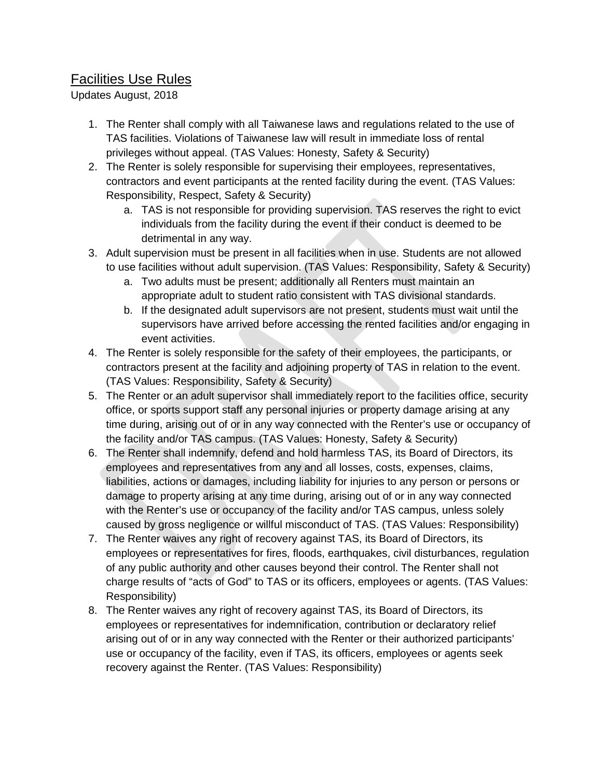## Facilities Use Rules

Updates August, 2018

- 1. The Renter shall comply with all Taiwanese laws and regulations related to the use of TAS facilities. Violations of Taiwanese law will result in immediate loss of rental privileges without appeal. (TAS Values: Honesty, Safety & Security)
- 2. The Renter is solely responsible for supervising their employees, representatives, contractors and event participants at the rented facility during the event. (TAS Values: Responsibility, Respect, Safety & Security)
	- a. TAS is not responsible for providing supervision. TAS reserves the right to evict individuals from the facility during the event if their conduct is deemed to be detrimental in any way.
- 3. Adult supervision must be present in all facilities when in use. Students are not allowed to use facilities without adult supervision. (TAS Values: Responsibility, Safety & Security)
	- a. Two adults must be present; additionally all Renters must maintain an appropriate adult to student ratio consistent with TAS divisional standards.
	- b. If the designated adult supervisors are not present, students must wait until the supervisors have arrived before accessing the rented facilities and/or engaging in event activities.
- 4. The Renter is solely responsible for the safety of their employees, the participants, or contractors present at the facility and adjoining property of TAS in relation to the event. (TAS Values: Responsibility, Safety & Security)
- 5. The Renter or an adult supervisor shall immediately report to the facilities office, security office, or sports support staff any personal injuries or property damage arising at any time during, arising out of or in any way connected with the Renter's use or occupancy of the facility and/or TAS campus. (TAS Values: Honesty, Safety & Security)
- 6. The Renter shall indemnify, defend and hold harmless TAS, its Board of Directors, its employees and representatives from any and all losses, costs, expenses, claims, liabilities, actions or damages, including liability for injuries to any person or persons or damage to property arising at any time during, arising out of or in any way connected with the Renter's use or occupancy of the facility and/or TAS campus, unless solely caused by gross negligence or willful misconduct of TAS. (TAS Values: Responsibility)
- 7. The Renter waives any right of recovery against TAS, its Board of Directors, its employees or representatives for fires, floods, earthquakes, civil disturbances, regulation of any public authority and other causes beyond their control. The Renter shall not charge results of "acts of God" to TAS or its officers, employees or agents. (TAS Values: Responsibility)
- 8. The Renter waives any right of recovery against TAS, its Board of Directors, its employees or representatives for indemnification, contribution or declaratory relief arising out of or in any way connected with the Renter or their authorized participants' use or occupancy of the facility, even if TAS, its officers, employees or agents seek recovery against the Renter. (TAS Values: Responsibility)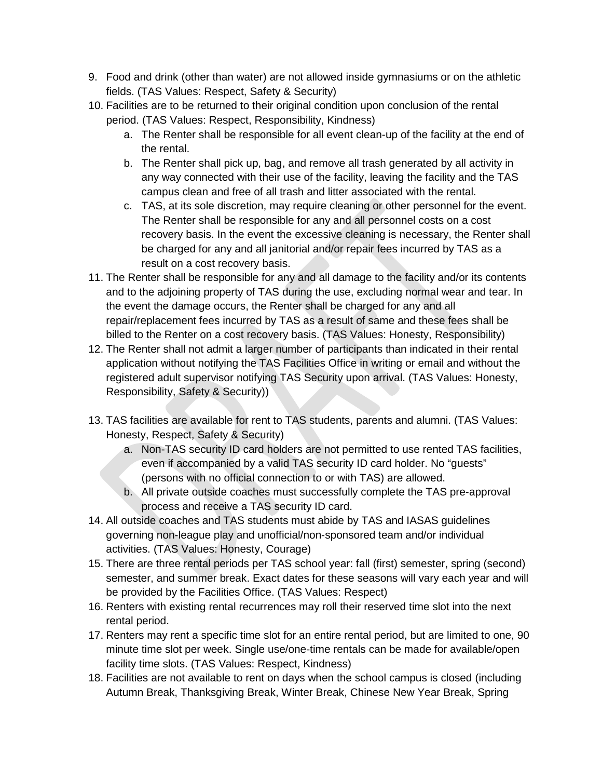- 9. Food and drink (other than water) are not allowed inside gymnasiums or on the athletic fields. (TAS Values: Respect, Safety & Security)
- 10. Facilities are to be returned to their original condition upon conclusion of the rental period. (TAS Values: Respect, Responsibility, Kindness)
	- a. The Renter shall be responsible for all event clean-up of the facility at the end of the rental.
	- b. The Renter shall pick up, bag, and remove all trash generated by all activity in any way connected with their use of the facility, leaving the facility and the TAS campus clean and free of all trash and litter associated with the rental.
	- c. TAS, at its sole discretion, may require cleaning or other personnel for the event. The Renter shall be responsible for any and all personnel costs on a cost recovery basis. In the event the excessive cleaning is necessary, the Renter shall be charged for any and all janitorial and/or repair fees incurred by TAS as a result on a cost recovery basis.
- 11. The Renter shall be responsible for any and all damage to the facility and/or its contents and to the adjoining property of TAS during the use, excluding normal wear and tear. In the event the damage occurs, the Renter shall be charged for any and all repair/replacement fees incurred by TAS as a result of same and these fees shall be billed to the Renter on a cost recovery basis. (TAS Values: Honesty, Responsibility)
- 12. The Renter shall not admit a larger number of participants than indicated in their rental application without notifying the TAS Facilities Office in writing or email and without the registered adult supervisor notifying TAS Security upon arrival. (TAS Values: Honesty, Responsibility, Safety & Security))
- 13. TAS facilities are available for rent to TAS students, parents and alumni. (TAS Values: Honesty, Respect, Safety & Security)
	- a. Non-TAS security ID card holders are not permitted to use rented TAS facilities, even if accompanied by a valid TAS security ID card holder. No "guests" (persons with no official connection to or with TAS) are allowed.
	- b. All private outside coaches must successfully complete the TAS pre-approval process and receive a TAS security ID card.
- 14. All outside coaches and TAS students must abide by TAS and IASAS guidelines governing non-league play and unofficial/non-sponsored team and/or individual activities. (TAS Values: Honesty, Courage)
- 15. There are three rental periods per TAS school year: fall (first) semester, spring (second) semester, and summer break. Exact dates for these seasons will vary each year and will be provided by the Facilities Office. (TAS Values: Respect)
- 16. Renters with existing rental recurrences may roll their reserved time slot into the next rental period.
- 17. Renters may rent a specific time slot for an entire rental period, but are limited to one, 90 minute time slot per week. Single use/one-time rentals can be made for available/open facility time slots. (TAS Values: Respect, Kindness)
- 18. Facilities are not available to rent on days when the school campus is closed (including Autumn Break, Thanksgiving Break, Winter Break, Chinese New Year Break, Spring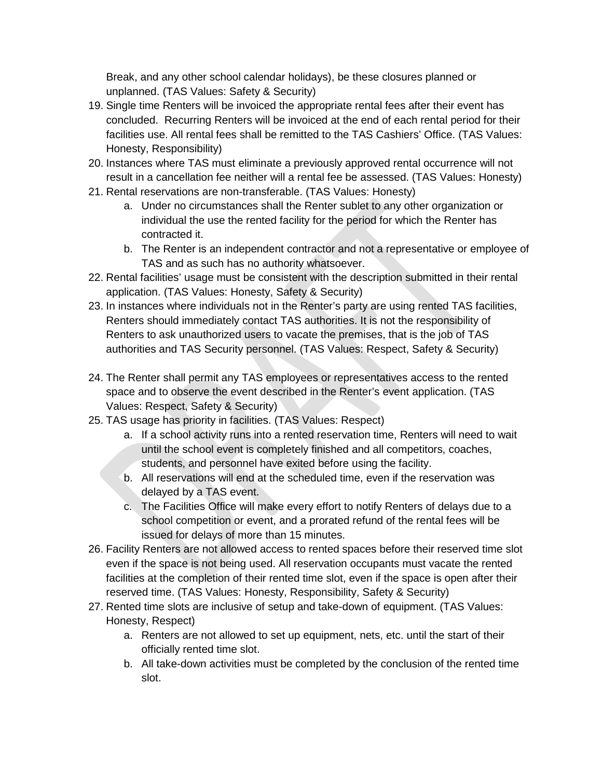Break, and any other school calendar holidays), be these closures planned or unplanned. (TAS Values: Safety & Security)

- 19. Single time Renters will be invoiced the appropriate rental fees after their event has concluded. Recurring Renters will be invoiced at the end of each rental period for their facilities use. All rental fees shall be remitted to the TAS Cashiers' Office. (TAS Values: Honesty, Responsibility)
- 20. Instances where TAS must eliminate a previously approved rental occurrence will not result in a cancellation fee neither will a rental fee be assessed. (TAS Values: Honesty)
- 21. Rental reservations are non-transferable. (TAS Values: Honesty)
	- a. Under no circumstances shall the Renter sublet to any other organization or individual the use the rented facility for the period for which the Renter has contracted it.
	- b. The Renter is an independent contractor and not a representative or employee of TAS and as such has no authority whatsoever.
- 22. Rental facilities' usage must be consistent with the description submitted in their rental application. (TAS Values: Honesty, Safety & Security)
- 23. In instances where individuals not in the Renter's party are using rented TAS facilities, Renters should immediately contact TAS authorities. It is not the responsibility of Renters to ask unauthorized users to vacate the premises, that is the job of TAS authorities and TAS Security personnel. (TAS Values: Respect, Safety & Security)
- 24. The Renter shall permit any TAS employees or representatives access to the rented space and to observe the event described in the Renter's event application. (TAS Values: Respect, Safety & Security)
- 25. TAS usage has priority in facilities. (TAS Values: Respect)
	- a. If a school activity runs into a rented reservation time, Renters will need to wait until the school event is completely finished and all competitors, coaches, students, and personnel have exited before using the facility.
	- b. All reservations will end at the scheduled time, even if the reservation was delayed by a TAS event.
	- c. The Facilities Office will make every effort to notify Renters of delays due to a school competition or event, and a prorated refund of the rental fees will be issued for delays of more than 15 minutes.
- 26. Facility Renters are not allowed access to rented spaces before their reserved time slot even if the space is not being used. All reservation occupants must vacate the rented facilities at the completion of their rented time slot, even if the space is open after their reserved time. (TAS Values: Honesty, Responsibility, Safety & Security)
- 27. Rented time slots are inclusive of setup and take-down of equipment. (TAS Values: Honesty, Respect)
	- a. Renters are not allowed to set up equipment, nets, etc. until the start of their officially rented time slot.
	- b. All take-down activities must be completed by the conclusion of the rented time slot.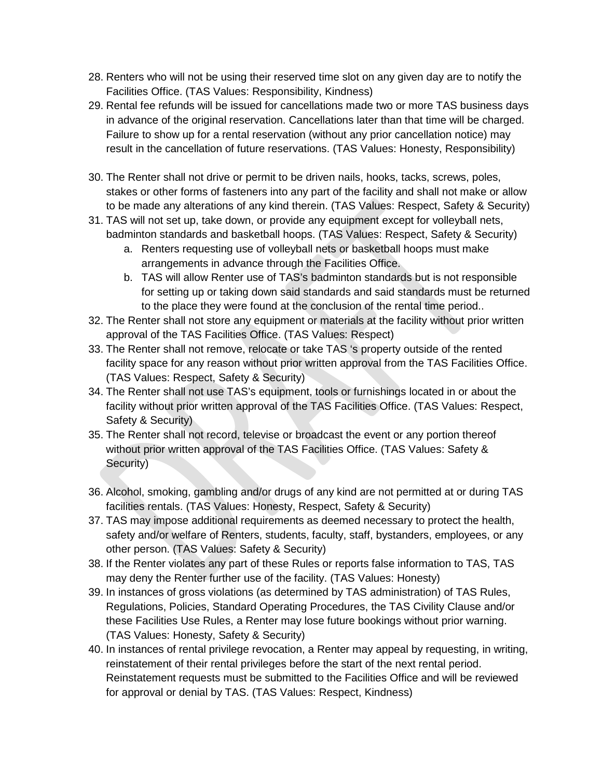- 28. Renters who will not be using their reserved time slot on any given day are to notify the Facilities Office. (TAS Values: Responsibility, Kindness)
- 29. Rental fee refunds will be issued for cancellations made two or more TAS business days in advance of the original reservation. Cancellations later than that time will be charged. Failure to show up for a rental reservation (without any prior cancellation notice) may result in the cancellation of future reservations. (TAS Values: Honesty, Responsibility)
- 30. The Renter shall not drive or permit to be driven nails, hooks, tacks, screws, poles, stakes or other forms of fasteners into any part of the facility and shall not make or allow to be made any alterations of any kind therein. (TAS Values: Respect, Safety & Security)
- 31. TAS will not set up, take down, or provide any equipment except for volleyball nets, badminton standards and basketball hoops. (TAS Values: Respect, Safety & Security)
	- a. Renters requesting use of volleyball nets or basketball hoops must make arrangements in advance through the Facilities Office.
	- b. TAS will allow Renter use of TAS's badminton standards but is not responsible for setting up or taking down said standards and said standards must be returned to the place they were found at the conclusion of the rental time period..
- 32. The Renter shall not store any equipment or materials at the facility without prior written approval of the TAS Facilities Office. (TAS Values: Respect)
- 33. The Renter shall not remove, relocate or take TAS 's property outside of the rented facility space for any reason without prior written approval from the TAS Facilities Office. (TAS Values: Respect, Safety & Security)
- 34. The Renter shall not use TAS's equipment, tools or furnishings located in or about the facility without prior written approval of the TAS Facilities Office. (TAS Values: Respect, Safety & Security)
- 35. The Renter shall not record, televise or broadcast the event or any portion thereof without prior written approval of the TAS Facilities Office. (TAS Values: Safety & Security)
- 36. Alcohol, smoking, gambling and/or drugs of any kind are not permitted at or during TAS facilities rentals. (TAS Values: Honesty, Respect, Safety & Security)
- 37. TAS may impose additional requirements as deemed necessary to protect the health, safety and/or welfare of Renters, students, faculty, staff, bystanders, employees, or any other person. (TAS Values: Safety & Security)
- 38. If the Renter violates any part of these Rules or reports false information to TAS, TAS may deny the Renter further use of the facility. (TAS Values: Honesty)
- 39. In instances of gross violations (as determined by TAS administration) of TAS Rules, Regulations, Policies, Standard Operating Procedures, the TAS Civility Clause and/or these Facilities Use Rules, a Renter may lose future bookings without prior warning. (TAS Values: Honesty, Safety & Security)
- 40. In instances of rental privilege revocation, a Renter may appeal by requesting, in writing, reinstatement of their rental privileges before the start of the next rental period. Reinstatement requests must be submitted to the Facilities Office and will be reviewed for approval or denial by TAS. (TAS Values: Respect, Kindness)